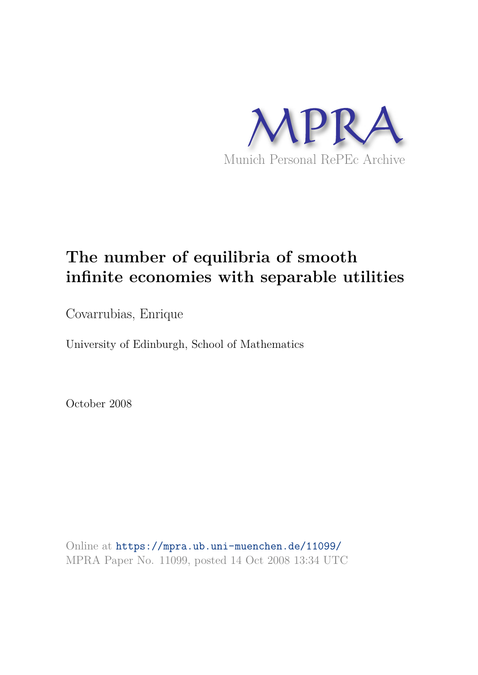

## **The number of equilibria of smooth infinite economies with separable utilities**

Covarrubias, Enrique

University of Edinburgh, School of Mathematics

October 2008

Online at https://mpra.ub.uni-muenchen.de/11099/ MPRA Paper No. 11099, posted 14 Oct 2008 13:34 UTC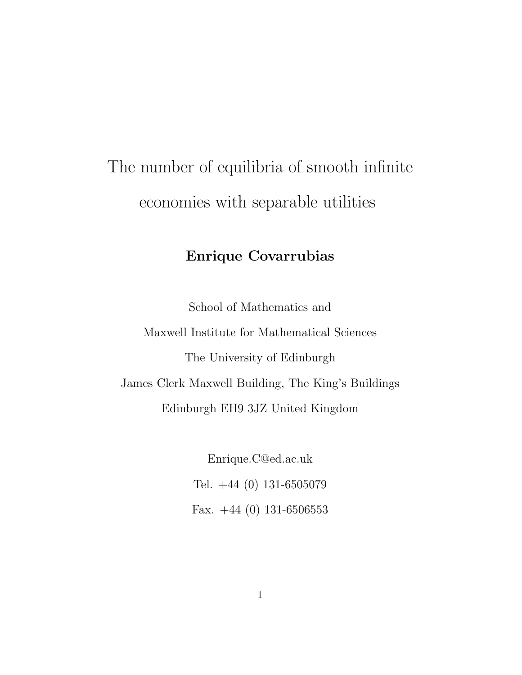# The number of equilibria of smooth infinite economies with separable utilities

## Enrique Covarrubias

School of Mathematics and Maxwell Institute for Mathematical Sciences The University of Edinburgh James Clerk Maxwell Building, The King's Buildings Edinburgh EH9 3JZ United Kingdom

> Enrique.C@ed.ac.uk Tel. +44 (0) 131-6505079 Fax.  $+44$  (0) 131-6506553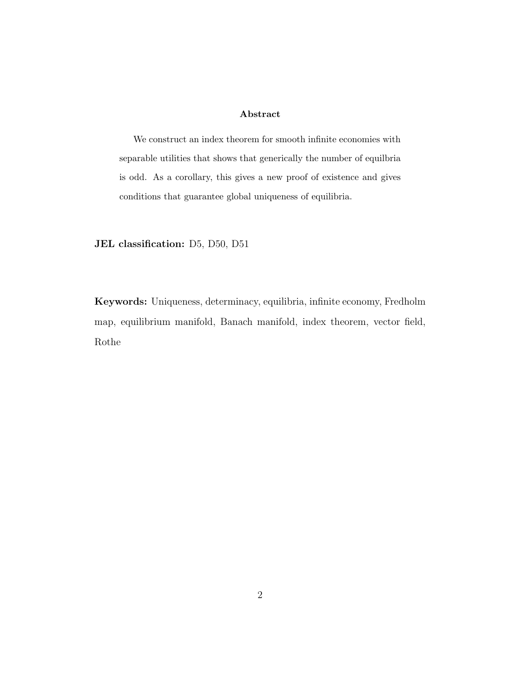#### Abstract

We construct an index theorem for smooth infinite economies with separable utilities that shows that generically the number of equilbria is odd. As a corollary, this gives a new proof of existence and gives conditions that guarantee global uniqueness of equilibria.

JEL classification: D5, D50, D51

Keywords: Uniqueness, determinacy, equilibria, infinite economy, Fredholm map, equilibrium manifold, Banach manifold, index theorem, vector field, Rothe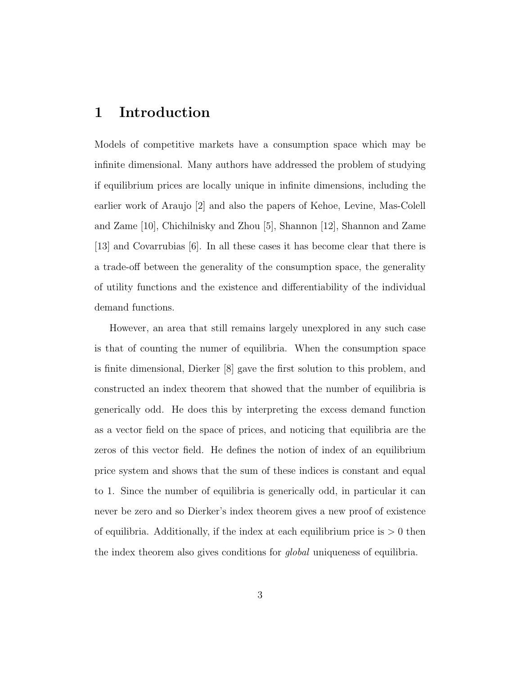#### 1 Introduction

Models of competitive markets have a consumption space which may be infinite dimensional. Many authors have addressed the problem of studying if equilibrium prices are locally unique in infinite dimensions, including the earlier work of Araujo [2] and also the papers of Kehoe, Levine, Mas-Colell and Zame [10], Chichilnisky and Zhou [5], Shannon [12], Shannon and Zame [13] and Covarrubias [6]. In all these cases it has become clear that there is a trade-off between the generality of the consumption space, the generality of utility functions and the existence and differentiability of the individual demand functions.

However, an area that still remains largely unexplored in any such case is that of counting the numer of equilibria. When the consumption space is finite dimensional, Dierker [8] gave the first solution to this problem, and constructed an index theorem that showed that the number of equilibria is generically odd. He does this by interpreting the excess demand function as a vector field on the space of prices, and noticing that equilibria are the zeros of this vector field. He defines the notion of index of an equilibrium price system and shows that the sum of these indices is constant and equal to 1. Since the number of equilibria is generically odd, in particular it can never be zero and so Dierker's index theorem gives a new proof of existence of equilibria. Additionally, if the index at each equilibrium price is  $> 0$  then the index theorem also gives conditions for *global* uniqueness of equilibria.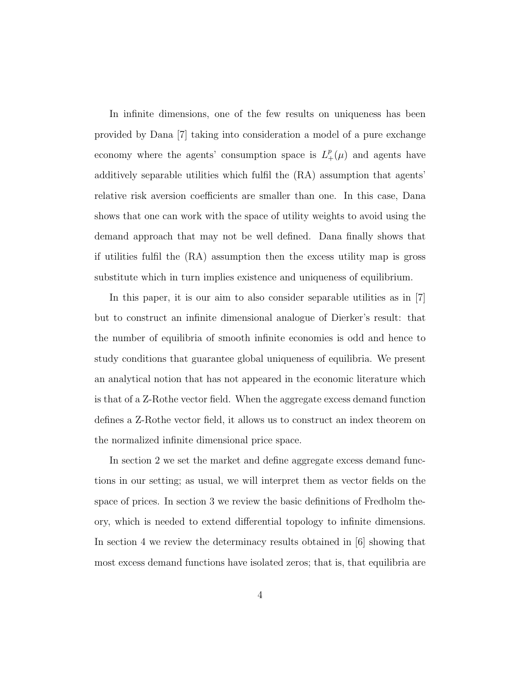In infinite dimensions, one of the few results on uniqueness has been provided by Dana [7] taking into consideration a model of a pure exchange economy where the agents' consumption space is  $L^p_+(\mu)$  and agents have additively separable utilities which fulfil the (RA) assumption that agents' relative risk aversion coefficients are smaller than one. In this case, Dana shows that one can work with the space of utility weights to avoid using the demand approach that may not be well defined. Dana finally shows that if utilities fulfil the (RA) assumption then the excess utility map is gross substitute which in turn implies existence and uniqueness of equilibrium.

In this paper, it is our aim to also consider separable utilities as in [7] but to construct an infinite dimensional analogue of Dierker's result: that the number of equilibria of smooth infinite economies is odd and hence to study conditions that guarantee global uniqueness of equilibria. We present an analytical notion that has not appeared in the economic literature which is that of a Z-Rothe vector field. When the aggregate excess demand function defines a Z-Rothe vector field, it allows us to construct an index theorem on the normalized infinite dimensional price space.

In section 2 we set the market and define aggregate excess demand functions in our setting; as usual, we will interpret them as vector fields on the space of prices. In section 3 we review the basic definitions of Fredholm theory, which is needed to extend differential topology to infinite dimensions. In section 4 we review the determinacy results obtained in [6] showing that most excess demand functions have isolated zeros; that is, that equilibria are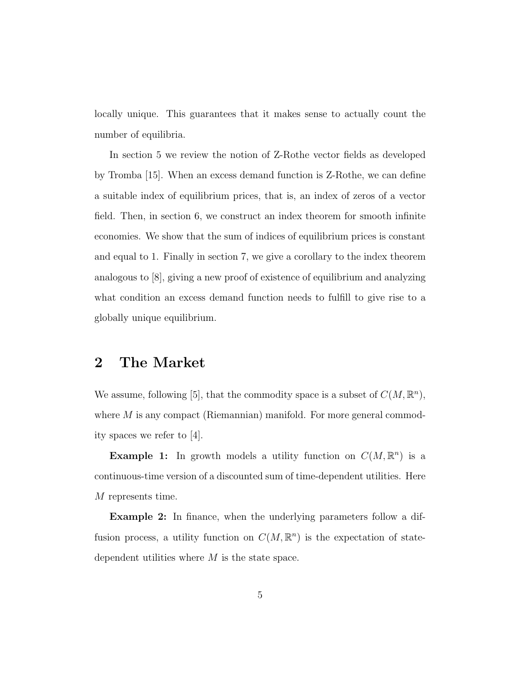locally unique. This guarantees that it makes sense to actually count the number of equilibria.

In section 5 we review the notion of Z-Rothe vector fields as developed by Tromba [15]. When an excess demand function is Z-Rothe, we can define a suitable index of equilibrium prices, that is, an index of zeros of a vector field. Then, in section 6, we construct an index theorem for smooth infinite economies. We show that the sum of indices of equilibrium prices is constant and equal to 1. Finally in section 7, we give a corollary to the index theorem analogous to [8], giving a new proof of existence of equilibrium and analyzing what condition an excess demand function needs to fulfill to give rise to a globally unique equilibrium.

#### 2 The Market

We assume, following [5], that the commodity space is a subset of  $C(M, \mathbb{R}^n)$ , where  $M$  is any compact (Riemannian) manifold. For more general commodity spaces we refer to [4].

**Example 1:** In growth models a utility function on  $C(M, \mathbb{R}^n)$  is a continuous-time version of a discounted sum of time-dependent utilities. Here M represents time.

Example 2: In finance, when the underlying parameters follow a diffusion process, a utility function on  $C(M, \mathbb{R}^n)$  is the expectation of statedependent utilities where  $M$  is the state space.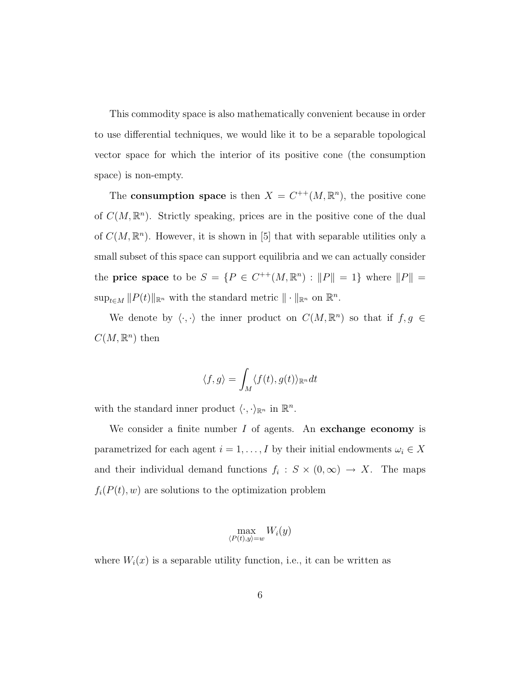This commodity space is also mathematically convenient because in order to use differential techniques, we would like it to be a separable topological vector space for which the interior of its positive cone (the consumption space) is non-empty.

The **consumption space** is then  $X = C^{++}(M, \mathbb{R}^n)$ , the positive cone of  $C(M, \mathbb{R}^n)$ . Strictly speaking, prices are in the positive cone of the dual of  $C(M, \mathbb{R}^n)$ . However, it is shown in [5] that with separable utilities only a small subset of this space can support equilibria and we can actually consider the **price space** to be  $S = \{P \in C^{++}(M, \mathbb{R}^n) : ||P|| = 1\}$  where  $||P|| =$  $\sup_{t \in M} ||P(t)||_{\mathbb{R}^n}$  with the standard metric  $|| \cdot ||_{\mathbb{R}^n}$  on  $\mathbb{R}^n$ .

We denote by  $\langle \cdot, \cdot \rangle$  the inner product on  $C(M, \mathbb{R}^n)$  so that if  $f, g \in$  $C(M,\mathbb{R}^n)$  then

$$
\langle f, g \rangle = \int_M \langle f(t), g(t) \rangle_{\mathbb{R}^n} dt
$$

with the standard inner product  $\langle \cdot, \cdot \rangle_{\mathbb{R}^n}$  in  $\mathbb{R}^n$ .

We consider a finite number  $I$  of agents. An exchange economy is parametrized for each agent  $i = 1, ..., I$  by their initial endowments  $\omega_i \in X$ and their individual demand functions  $f_i : S \times (0, \infty) \to X$ . The maps  $f_i(P(t), w)$  are solutions to the optimization problem

$$
\max_{\langle P(t),y\rangle=w}W_i(y)
$$

where  $W_i(x)$  is a separable utility function, i.e., it can be written as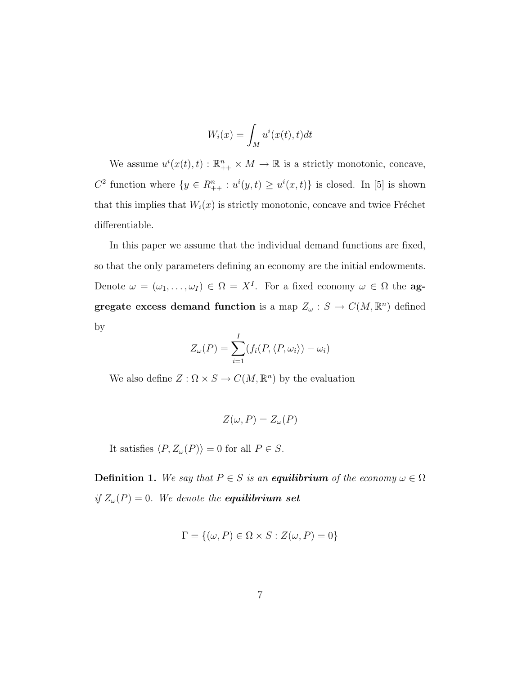$$
W_i(x) = \int_M u^i(x(t), t)dt
$$

We assume  $u^{i}(x(t), t) : \mathbb{R}_{++}^{n} \times M \to \mathbb{R}$  is a strictly monotonic, concave,  $C^2$  function where  $\{y \in R_{++}^n : u^i(y,t) \geq u^i(x,t)\}$  is closed. In [5] is shown that this implies that  $W_i(x)$  is strictly monotonic, concave and twice Fréchet differentiable.

In this paper we assume that the individual demand functions are fixed, so that the only parameters defining an economy are the initial endowments. Denote  $\omega = (\omega_1, \ldots, \omega_I) \in \Omega = X^I$ . For a fixed economy  $\omega \in \Omega$  the **ag**gregate excess demand function is a map  $Z_\omega$  :  $S \to C(M, \mathbb{R}^n)$  defined by

$$
Z_{\omega}(P) = \sum_{i=1}^{I} (f_i(P, \langle P, \omega_i \rangle) - \omega_i)
$$

We also define  $Z : \Omega \times S \to C(M, \mathbb{R}^n)$  by the evaluation

$$
Z(\omega, P) = Z_{\omega}(P)
$$

It satisfies  $\langle P, Z_\omega(P)\rangle = 0$  for all  $P \in S$ .

**Definition 1.** We say that  $P \in S$  is an **equilibrium** of the economy  $\omega \in \Omega$ *if*  $Z_{\omega}(P) = 0$ *. We denote the equilibrium set* 

$$
\Gamma = \{ (\omega, P) \in \Omega \times S : Z(\omega, P) = 0 \}
$$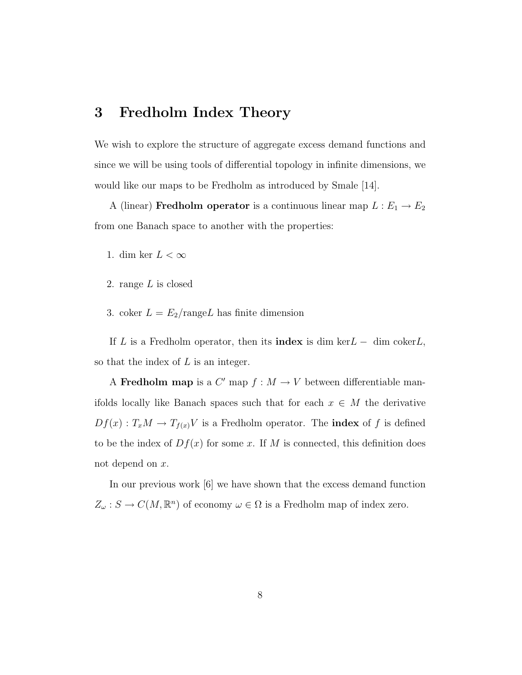#### 3 Fredholm Index Theory

We wish to explore the structure of aggregate excess demand functions and since we will be using tools of differential topology in infinite dimensions, we would like our maps to be Fredholm as introduced by Smale [14].

A (linear) **Fredholm operator** is a continuous linear map  $L : E_1 \to E_2$ from one Banach space to another with the properties:

- 1. dim ker  $L < \infty$
- 2. range L is closed
- 3. coker  $L = E_2/\text{range}L$  has finite dimension

If L is a Fredholm operator, then its **index** is dim ker $L -$  dim coker $L$ , so that the index of  $L$  is an integer.

A Fredholm map is a  $C'$  map  $f : M \to V$  between differentiable manifolds locally like Banach spaces such that for each  $x \in M$  the derivative  $Df(x) : T_xM \to T_{f(x)}V$  is a Fredholm operator. The **index** of f is defined to be the index of  $Df(x)$  for some x. If M is connected, this definition does not depend on x.

In our previous work [6] we have shown that the excess demand function  $Z_{\omega}: S \to C(M, \mathbb{R}^n)$  of economy  $\omega \in \Omega$  is a Fredholm map of index zero.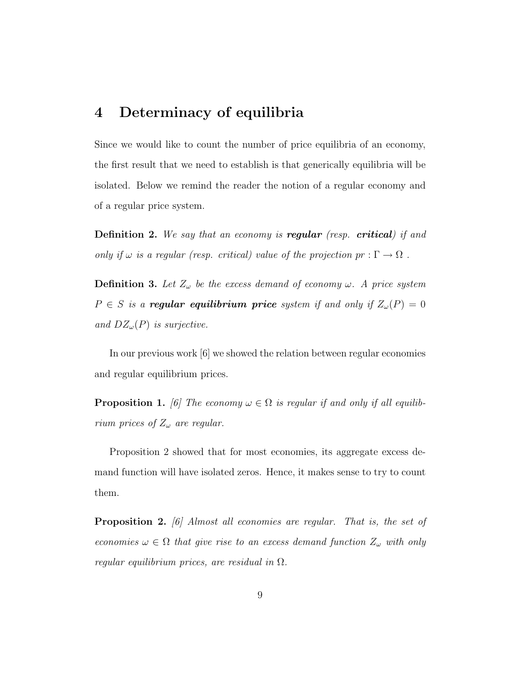#### 4 Determinacy of equilibria

Since we would like to count the number of price equilibria of an economy, the first result that we need to establish is that generically equilibria will be isolated. Below we remind the reader the notion of a regular economy and of a regular price system.

Definition 2. *We say that an economy is* regular *(resp.* critical*) if and only if*  $\omega$  *is a regular (resp. critical) value of the projection*  $pr : \Gamma \to \Omega$ .

**Definition 3.** Let  $Z_{\omega}$  be the excess demand of economy  $\omega$ . A price system  $P \in S$  *is a regular equilibrium price system if and only if*  $Z_{\omega}(P) = 0$ *and*  $DZ_{\omega}(P)$  *is surjective.* 

In our previous work [6] we showed the relation between regular economies and regular equilibrium prices.

**Proposition 1.** [6] The economy  $\omega \in \Omega$  is regular if and only if all equilib*rium prices of*  $Z_{\omega}$  *are regular.* 

Proposition 2 showed that for most economies, its aggregate excess demand function will have isolated zeros. Hence, it makes sense to try to count them.

Proposition 2. *[6] Almost all economies are regular. That is, the set of economies*  $\omega \in \Omega$  *that give rise to an excess demand function*  $Z_{\omega}$  *with only regular equilibrium prices, are residual in* Ω*.*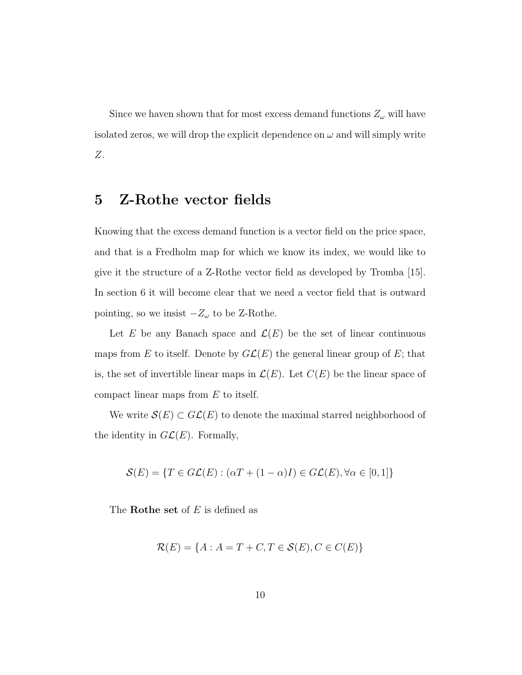Since we haven shown that for most excess demand functions  $Z_{\omega}$  will have isolated zeros, we will drop the explicit dependence on  $\omega$  and will simply write Z.

#### 5 Z-Rothe vector fields

Knowing that the excess demand function is a vector field on the price space, and that is a Fredholm map for which we know its index, we would like to give it the structure of a Z-Rothe vector field as developed by Tromba [15]. In section 6 it will become clear that we need a vector field that is outward pointing, so we insist  $-Z_{\omega}$  to be Z-Rothe.

Let E be any Banach space and  $\mathcal{L}(E)$  be the set of linear continuous maps from E to itself. Denote by  $GL(E)$  the general linear group of E; that is, the set of invertible linear maps in  $\mathcal{L}(E)$ . Let  $C(E)$  be the linear space of compact linear maps from E to itself.

We write  $\mathcal{S}(E) \subset \mathcal{GL}(E)$  to denote the maximal starred neighborhood of the identity in  $GL(E)$ . Formally,

$$
\mathcal{S}(E) = \{ T \in G\mathcal{L}(E) : (\alpha T + (1 - \alpha)I) \in G\mathcal{L}(E), \forall \alpha \in [0, 1] \}
$$

The **Rothe set** of  $E$  is defined as

$$
\mathcal{R}(E) = \{A : A = T + C, T \in \mathcal{S}(E), C \in C(E)\}
$$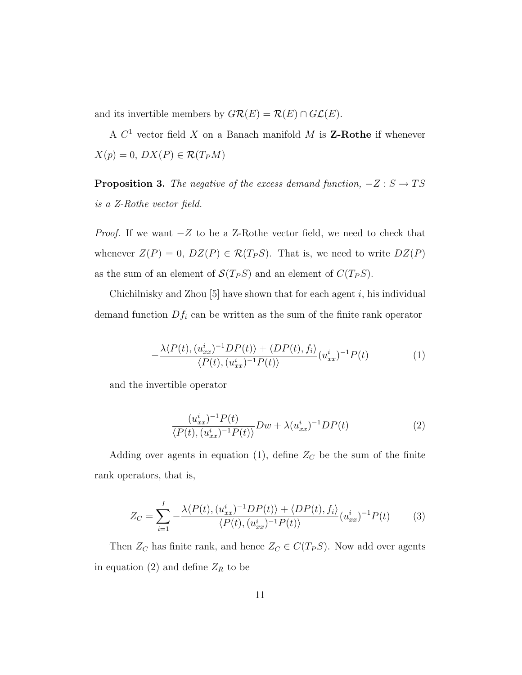and its invertible members by  $G\mathcal{R}(E) = \mathcal{R}(E) \cap G\mathcal{L}(E)$ .

A  $C<sup>1</sup>$  vector field X on a Banach manifold M is **Z-Rothe** if whenever  $X(p) = 0$ ,  $DX(P) \in \mathcal{R}(T_P M)$ 

**Proposition 3.** *The negative of the excess demand function,*  $-Z : S \rightarrow TS$ *is a Z-Rothe vector field.*

*Proof.* If we want  $-Z$  to be a Z-Rothe vector field, we need to check that whenever  $Z(P) = 0$ ,  $DZ(P) \in \mathcal{R}(T_P S)$ . That is, we need to write  $DZ(P)$ as the sum of an element of  $\mathcal{S}(T_P S)$  and an element of  $C(T_P S)$ .

Chichilnisky and Zhou  $[5]$  have shown that for each agent i, his individual demand function  $Df_i$  can be written as the sum of the finite rank operator

$$
-\frac{\lambda \langle P(t), (u_{xx}^i)^{-1}DP(t)\rangle + \langle DP(t), f_i\rangle}{\langle P(t), (u_{xx}^i)^{-1}P(t)\rangle} (u_{xx}^i)^{-1}P(t)
$$
(1)

and the invertible operator

$$
\frac{(u_{xx}^i)^{-1}P(t)}{\langle P(t), (u_{xx}^i)^{-1}P(t)\rangle}Dw + \lambda (u_{xx}^i)^{-1}DP(t)
$$
\n(2)

Adding over agents in equation (1), define  $Z_C$  be the sum of the finite rank operators, that is,

$$
Z_C = \sum_{i=1}^{I} -\frac{\lambda \langle P(t), (u_{xx}^i)^{-1}DP(t) \rangle + \langle DP(t), f_i \rangle}{\langle P(t), (u_{xx}^i)^{-1}P(t) \rangle} (u_{xx}^i)^{-1}P(t)
$$
(3)

Then  $Z_C$  has finite rank, and hence  $Z_C \in C(T_P S)$ . Now add over agents in equation (2) and define  $Z_R$  to be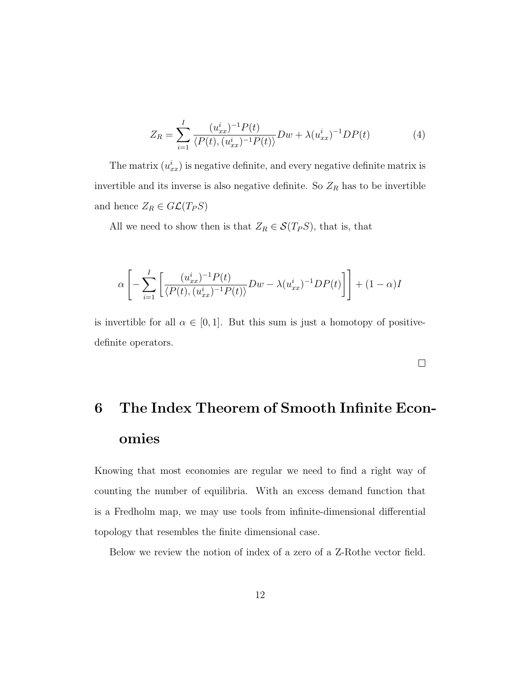$$
Z_R = \sum_{i=1}^{I} \frac{(u_{xx}^i)^{-1} P(t)}{\langle P(t), (u_{xx}^i)^{-1} P(t) \rangle} Dw + \lambda (u_{xx}^i)^{-1} DP(t)
$$
(4)

The matrix  $(u_{xx}^i)$  is negative definite, and every negative definite matrix is invertible and its inverse is also negative definite. So  $Z_R$  has to be invertible and hence  $Z_R \in GL(T_P S)$ 

All we need to show then is that  $Z_R \in \mathcal{S}(T_P S)$ , that is, that

$$
\alpha \left[ -\sum_{i=1}^{I} \left[ \frac{(u_{xx}^i)^{-1} P(t)}{\langle P(t), (u_{xx}^i)^{-1} P(t) \rangle} Dw - \lambda (u_{xx}^i)^{-1} DP(t) \right] \right] + (1 - \alpha)N
$$

is invertible for all  $\alpha \in [0, 1]$ . But this sum is just a homotopy of positivedefinite operators.

 $\Box$ 

# 6 The Index Theorem of Smooth Infinite Economies

Knowing that most economies are regular we need to find a right way of counting the number of equilibria. With an excess demand function that is a Fredholm map, we may use tools from infinite-dimensional differential topology that resembles the finite dimensional case.

Below we review the notion of index of a zero of a Z-Rothe vector field.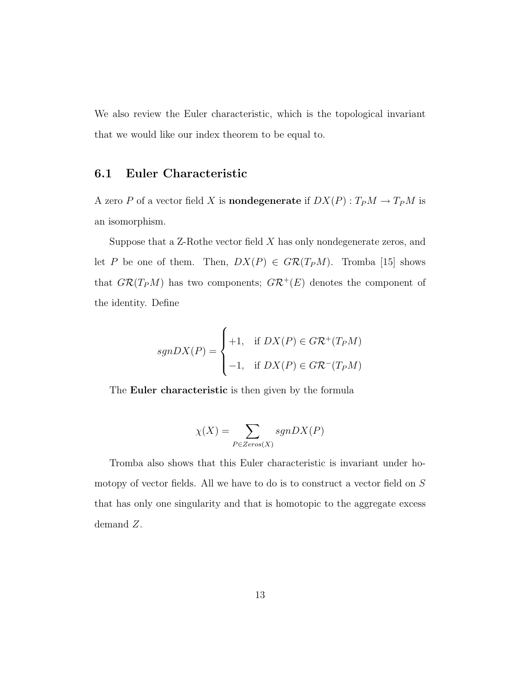We also review the Euler characteristic, which is the topological invariant that we would like our index theorem to be equal to.

#### 6.1 Euler Characteristic

A zero P of a vector field X is **nondegenerate** if  $DX(P): T_P M \to T_P M$  is an isomorphism.

Suppose that a  $Z$ -Rothe vector field  $X$  has only nondegenerate zeros, and let P be one of them. Then,  $DX(P) \in G\mathcal{R}(T_P M)$ . Tromba [15] shows that  $G\mathcal{R}(T_P M)$  has two components;  $G\mathcal{R}^+(E)$  denotes the component of the identity. Define

$$
sgnDX(P) = \begin{cases} +1, & \text{if } DX(P) \in G\mathcal{R}^+(T_P M) \\ -1, & \text{if } DX(P) \in G\mathcal{R}^-(T_P M) \end{cases}
$$

The **Euler characteristic** is then given by the formula

$$
\chi(X) = \sum_{P \in Zeros(X)} sgnDX(P)
$$

Tromba also shows that this Euler characteristic is invariant under homotopy of vector fields. All we have to do is to construct a vector field on S that has only one singularity and that is homotopic to the aggregate excess demand Z.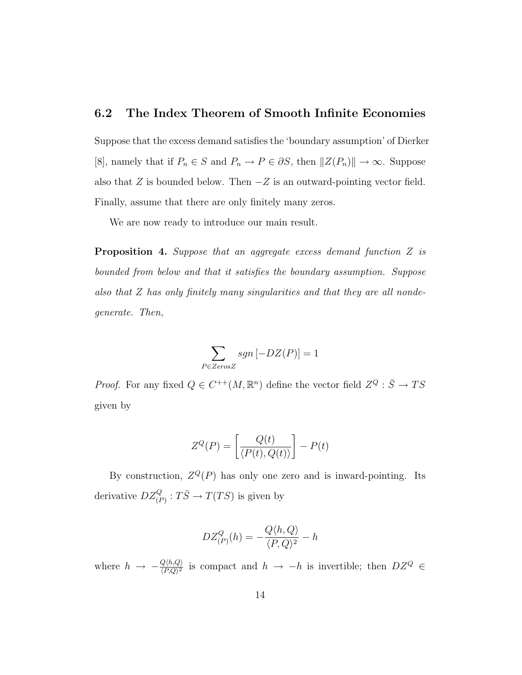#### 6.2 The Index Theorem of Smooth Infinite Economies

Suppose that the excess demand satisfies the 'boundary assumption' of Dierker [8], namely that if  $P_n \in S$  and  $P_n \to P \in \partial S$ , then  $||Z(P_n)|| \to \infty$ . Suppose also that Z is bounded below. Then  $-Z$  is an outward-pointing vector field. Finally, assume that there are only finitely many zeros.

We are now ready to introduce our main result.

Proposition 4. *Suppose that an aggregate excess demand function* Z *is bounded from below and that it satisfies the boundary assumption. Suppose also that* Z *has only finitely many singularities and that they are all nondegenerate. Then,*

$$
\sum_{P \in ZerosZ} sgn \left[ -DZ(P) \right] = 1
$$

*Proof.* For any fixed  $Q \in C^{++}(M, \mathbb{R}^n)$  define the vector field  $Z^Q : \overline{S} \to TS$ given by

$$
Z^{Q}(P) = \left[\frac{Q(t)}{\langle P(t), Q(t)\rangle}\right] - P(t)
$$

By construction,  $Z^Q(P)$  has only one zero and is inward-pointing. Its derivative  $DZ_{(P)}^Q: T\overline{S} \to T(TS)$  is given by

$$
DZ^Q_{(P)}(h) = -\frac{Q\langle h, Q\rangle}{\langle P, Q\rangle^2} - h
$$

where  $h \rightarrow -\frac{Q\langle h,Q \rangle}{\langle PQ \rangle^2}$  $\frac{Q(h,Q)}{(P,Q)^2}$  is compact and  $h \to -h$  is invertible; then  $DZ^Q \in$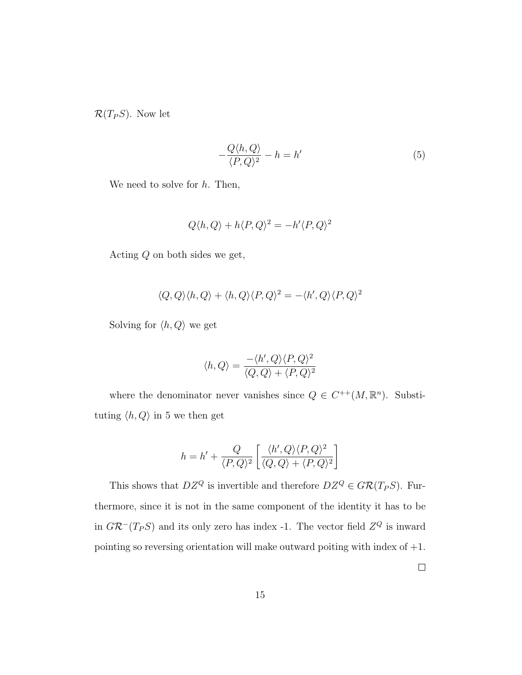$\mathcal{R}(T_P S)$ . Now let

$$
-\frac{Q\langle h, Q\rangle}{\langle P, Q\rangle^2} - h = h'
$$
\n(5)

We need to solve for  $h$ . Then,

$$
Q\langle h, Q \rangle + h\langle P, Q \rangle^{2} = -h'\langle P, Q \rangle^{2}
$$

Acting Q on both sides we get,

$$
\langle Q, Q \rangle \langle h, Q \rangle + \langle h, Q \rangle \langle P, Q \rangle^2 = - \langle h', Q \rangle \langle P, Q \rangle^2
$$

Solving for  $\langle h, Q \rangle$  we get

$$
\langle h, Q \rangle = \frac{-\langle h', Q \rangle \langle P, Q \rangle^2}{\langle Q, Q \rangle + \langle P, Q \rangle^2}
$$

where the denominator never vanishes since  $Q \in C^{++}(M, \mathbb{R}^n)$ . Substituting  $\langle h, Q \rangle$  in 5 we then get

$$
h = h' + \frac{Q}{\langle P, Q \rangle^2} \left[ \frac{\langle h', Q \rangle \langle P, Q \rangle^2}{\langle Q, Q \rangle + \langle P, Q \rangle^2} \right]
$$

This shows that  $DZ^Q$  is invertible and therefore  $DZ^Q \in \mathcal{GR}(T_P S)$ . Furthermore, since it is not in the same component of the identity it has to be in  $G\mathcal{R}^-(T_P S)$  and its only zero has index -1. The vector field  $Z^Q$  is inward pointing so reversing orientation will make outward poiting with index of  $+1$ .

 $\Box$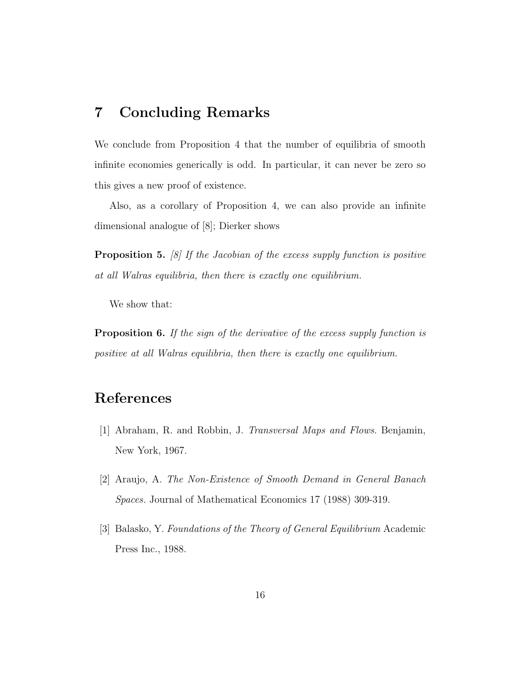#### 7 Concluding Remarks

We conclude from Proposition 4 that the number of equilibria of smooth infinite economies generically is odd. In particular, it can never be zero so this gives a new proof of existence.

Also, as a corollary of Proposition 4, we can also provide an infinite dimensional analogue of [8]; Dierker shows

Proposition 5. *[8] If the Jacobian of the excess supply function is positive at all Walras equilibria, then there is exactly one equilibrium.*

We show that:

Proposition 6. *If the sign of the derivative of the excess supply function is positive at all Walras equilibria, then there is exactly one equilibrium.*

### References

- [1] Abraham, R. and Robbin, J. *Transversal Maps and Flows.* Benjamin, New York, 1967.
- [2] Araujo, A. *The Non-Existence of Smooth Demand in General Banach Spaces.* Journal of Mathematical Economics 17 (1988) 309-319.
- [3] Balasko, Y. *Foundations of the Theory of General Equilibrium* Academic Press Inc., 1988.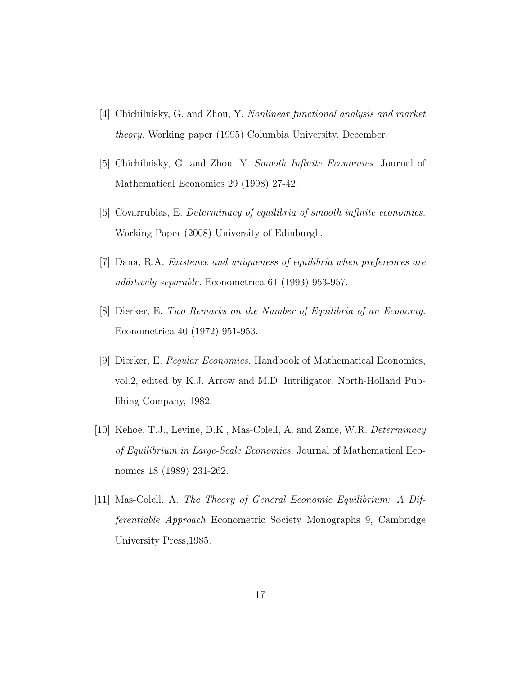- [4] Chichilnisky, G. and Zhou, Y. *Nonlinear functional analysis and market theory.* Working paper (1995) Columbia University. December.
- [5] Chichilnisky, G. and Zhou, Y. *Smooth Infinite Economies.* Journal of Mathematical Economics 29 (1998) 27-42.
- [6] Covarrubias, E. *Determinacy of equilibria of smooth infinite economies.* Working Paper (2008) University of Edinburgh.
- [7] Dana, R.A. *Existence and uniqueness of equilibria when preferences are additively separable.* Econometrica 61 (1993) 953-957.
- [8] Dierker, E. *Two Remarks on the Number of Equilibria of an Economy.* Econometrica 40 (1972) 951-953.
- [9] Dierker, E. *Regular Economies.* Handbook of Mathematical Economics, vol.2, edited by K.J. Arrow and M.D. Intriligator. North-Holland Publihing Company, 1982.
- [10] Kehoe, T.J., Levine, D.K., Mas-Colell, A. and Zame, W.R. *Determinacy of Equilibrium in Large-Scale Economies.* Journal of Mathematical Economics 18 (1989) 231-262.
- [11] Mas-Colell, A. *The Theory of General Economic Equilibrium: A Differentiable Approach* Econometric Society Monographs 9, Cambridge University Press,1985.